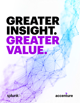# GREATER INSIGHT. GREATER VALUE.

splunk

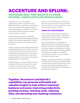## **ACCENTURE AND SPLUNK: DELIVERING REAL-TIME INSIGHTS TO GROW REVENUE, LOWER COSTS AND REDUCE RISKS**

*A wireless carrier is on the verge of experiencing a system outage that would affect millions of its customers. Fortunately, the company is alerted to the problem ahead of time and takes action to address it. This carrier reclaims \$1.2 million annually by reducing system outages in this way.* 

*A financial services company dramatically improves its banking services by preempting 40 percent of its customer-impacting IT incidents and reducing mean time to resolve issues by 70 percent.* 

*A utility company is able to detect cyber attacks and sabotage attempts on its field workforce's mobile devices and smart meters and can immediately take action to block those attacks, protecting critical infrastructure, preventing negative impacts for customers and increasing the productivity of its workforce.*

*A global resource company is able to monitor developer efficiency and quality from build to production and can also monitor team throughput and performance. This enables* 

*teams to enhance efficiency by optimizing lifecycle processes and increasing the skills of the workforce, thus reducing cost to serve and increasing speed to market.* 

#### HOW IS ALL THIS POSSIBLE?

The common thread these organizations share is their ability to collect, analyze and visualize their machine data in real time to enable operational intelligence.

Operational intelligence capabilities are offered through a new strategic partnership between Accenture, a preeminent strategy, technology, digital, and operations company, and Splunk, which offers the leading platform for operational intelligence—enabling organizations to search, monitor, correlate and analyze machine data.

Together, Accenture's and Splunk's capabilities can generate actionable and valuable insights to help achieve important business outcomes: improving productivity, growing revenue, lowering costs, reducing risks, and attracting and retaining customers.

**Together, Accenture's and Splunk's capabilities can generate actionable and valuable insights to help achieve important business outcomes: improving productivity, growing revenue, lowering costs, reducing risks, and attracting and retaining customers.**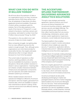## **WHAT CAN YOU DO WITH 21 BILLION THINGS?**

We all know about the explosion of data in our organizations and in our lives. Accenture estimates that by 2020 there will be more than 44 zettabytes of data (that's 44 trillion gigabytes) stored and available, 35 percent of which will be considered useful for analysis. Part of this data explosion is the result of the Internet of Things (IoT)—a vast network of products, machines, sensors and processing—estimated to number more than 21 billion interconnected "things" by 2020.<sup>1</sup>

The question is: Are you able to turn vast amounts of data into timely insights?

Many companies struggle. Just getting data from so many different sources into the system is tough enough. Then, although some organizations can mine historical data for trends after the fact, the insights ultimately delivered are often no longer relevant because too much time has passed.

The current state of operations is often reactive, catching problems only after they've snowballed into business or security disruptions. Worse still, problem resolution is siloed in various organizations—meaning data isn't shared, complex interactions between infrastructure and application components can't be captured, and subtle interactions between systems go unnoticed.

What's needed instead is the kind of operational intelligence offered by Accenture and Splunk: real-time insights, generated from machine data, which are available to support near-instantaneous decision making, timely customer service and more effective steering of an organization.

## **THE ACCENTURE-SPLUNK PARTNERSHIP: DELIVERING ADVANCED ANALYTICS SOLUTIONS**

Through a new strategic partnership agreement, Splunk products and cloud services are being integrated into Accenture's business analytics, application services, security and digital offerings. The Accenture-Splunk team offers services that collect machine data from any source, including logs, clickstreams, sensors, web servers, custom applications, hypervisors, containers, social media and cloud services.

The Splunk platform then enables organizations to search, monitor and analyze this data to drive multiple use cases like security, IT operations, application delivery, industrial data and IoT—delivering operational intelligence across the entire organization.

Hawaiian Telcom, for example, is taking advantage of Accenture's intelligent application management services, infused with Splunk technology, to mine critical business insights and expand monitoring of the company's core IT ecosystem.

Real-time insights gleaned from customized dashboards enable Hawaiian Telcom to be more strategic and proactive on a dayto-day basis, which ultimately improves customer service and increases productivity.

Accenture and Splunk are also jointly developing and bringing to market new packaged solutions, the first of which integrates Splunk analytics into Accenture's Managed Security Services. These services leverage Accenture's global resources and nextgeneration as-a-service capabilities to better anticipate attacks, contain breaches, minimize vulnerabilities and ensure business continuity.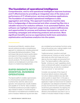## **The foundation of operational intelligence**

Comprehensive, end-to-end operational intelligence improves business and IT effectiveness by providing an integrated view of the status and performance of IT infrastructure, services and business applications. The foundation of successful operational intelligence is data aggregation and mining. This approach transforms machine data from a hodgepodge of disconnected and often-unused log files into a valuable resource for analytics software. In an automated fashion, the software can highlight important usage trends, system inefficiencies and opportunities for process and business improvements, such as marketing campaigns and enhancing products and services. More significant benefits accrue as organizations build more automation, sophistication and business analytics into the system.

Accenture's and Splunk's analytics-driven security solutions provide a comprehensive approach to cybersecurity, including advanced techniques like behavioral analytics. These techniques help security teams quickly detect and respond to threats based on a broader security context than is possible with legacy security products. The Accenture-Splunk solutions can be deployed on-premises, in the cloud or in a hybrid cloud deployment.

## **RAPID INSIGHTS INTO ESSENTIAL BUSINESS OPERATIONS**

The Splunk platform enables rapid answers to critical business questions because it is schema-free, real-time, data-sourceagnostic, time-sequenced, visually enabled, and capable of "on-the-fly" data correlation. The flexible architecture provides insights in days instead of weeks or months because information is normalized and correlated at the point of analysis. Relational, log and wire data

are correlated across business functions using time as the primary axis, making insights more readily accessible than ever before.

Traditional extract, transform and load architectures are "schema-on-write" and the data loads are often both large and out of date by the time insights are extracted from them. The Splunk platform offers real-time, flexible, "schema-on-read" capabilities which, when combined with pattern recognition and machine learning, can also be considered "pre-occurrence" or "pre-real time."

Consider one example of the impact of Accenture-Splunk solutions: being able not only to detect problems but also take action quickly to repair them. In the past, a financial services company processing a loan application might not have known for weeks if an application was delayed somewhere in the process. By that time the customer probably would have gone elsewhere. By tapping into operational intelligence, companies can be alerted to the bottleneck and clear it up in a matter of minutes instead of days or weeks.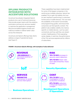## **SPLUNK PRODUCTS INTEGRATED WITH ACCENTURE SOLUTIONS**

Accenture has already integrated Splunk products into a set of tools and resources that provide project teams with the analytics, automation and security services needed to optimize the application management lifecycle and defend against threats and malicious insiders to deliver better value across the enterprise.

Accenture and Splunk offerings help clients address a range of operational issues (see Figure 1):

These capabilities have been implemented for some of the largest companies in the world across multiple industries. Splunk has enabled TiVo to gain full visibility into how its user interface is performing in customers' homes and on mobile devices. TiVo can track the availability of the search functionality and programming guides, and ensure that consumers can find specific content. The platform also enables visibility into metrics specific to mobile devices—such as users' connectivity and how well they can stream content. Dashboards at TiVo's operating center display, in real time, the performance of the TiVo services experienced by millions of subscribers.

#### **FIGURE 1: Accenture-Splunk offerings, with examples of value delivered**

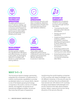

#### **INFORMATION TECHNOLOGY OPERATIONS**

Visualize performance of your IT service catalog; use machine learning to invoke corrective action based on control limits; and integrate performance information across the application and infrastructure stack.



#### **DEVELOPMENT OPERATIONS**

Achieve greater visibility into development efficiency and effectiveness, as well as code quality, by leveraging Splunk to correlate user stories to code faults and testing defects.



#### **SECURITY OPERATIONS**

Demonstrate security and data compliance, detection and response to threats and machine learning-driven user behavior analytics.



#### **BUSINESS OPERATIONS**

Track orders, analyze equipment performance, understand customer buying patterns and proactively identify disruptions to service in real time.



#### **INTERNET OF THINGS (IOT)**

Navigate the complexity of the IoT from strategic journeys through tactical use cases:

- "Connecting the dots" between smart devices and objects.
- Driving cost out of operations.
- Implementing predictive analytics, pattern recognition, machine learning and automation to drive value from the end-to-end data ecosystem.
- Protecting systems and devices from sabotage, hacking and cyber attack.
- Extracting business value from an end-to-end connected enterprise data fabric.

## **WHY 1+1 > 2**

The Accenture-Splunk strategic partnership integrates the companies' complementary IT, industry and business capabilities to provide accelerated value to our mutual clients. Splunk is one of the fastest-growing technology companies in the world, a winner of multiple awards, and regularly recognized as an operational intelligence leader. Accenture has more than 60 years of experience

transforming the world's leading companies in 120 countries with deep knowledge in over 40 different industries. In the security area, for example, Accenture Security professionals have served over 330 clients in 67 countries, bringing industrialized methodologies and proven solutions that help clients prepare, protect, detect, respond and recover along all points of the security lifecycle.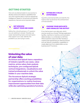## **GETTING STARTED**

How can you best proceed on your journey to develop advanced analytics capabilities that can mine machine data to improve operational intelligence? Based on Accenture's and Splunk's experience, here are some important steps.

#### **GET SPECIFIC ABOUT YOUR USE CASES**

1

Define the critical business or IT question you are seeking to answer. Develop use cases representing topics and sub-topics that support your case. Identify the problems you are trying to solve.

#### **ESTABLISH A VALUE HYPOTHESIS** 2

Quantify potential benefits and identify the metrics that would show the achievement of those benefits.

#### **CHOOSE YOUR DATA SETS AND VISUALIZE THE OUTPUT** 3

If you had access to any data sets, which sources would you choose? Perhaps application log files, machine-to-machine communication, relational data or a combination of all three. What would the output look like? Develop a creative brief representing an ideal storyboard and use Splunk's visualization capabilities to create alignment from stakeholders across business and IT functions.

## **Unlocking the value of your data**

Accenture and Splunk have a repository of industry-specific use cases, value metrics, prime value chain analysis techniques, pre-configured Splunk vertical integrations, visualizations and trained professionals to unlock the value hidden in your machine data.

The Accenture-Splunk strategic partnership offers exciting possibilities for organizations to realize business improvement opportunities from their data while also optimizing operations functions.